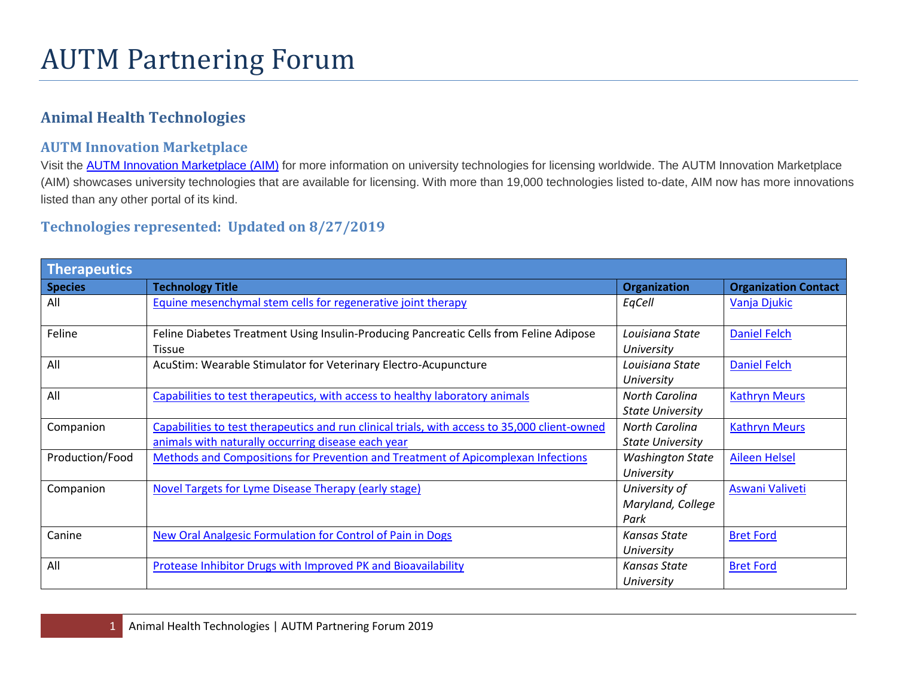## **Animal Health Technologies**

## **AUTM Innovation Marketplace**

Visit the **[AUTM Innovation Marketplace \(AIM\)](https://gtp.autm.net/)** for more information on university technologies for licensing worldwide. The AUTM Innovation Marketplace (AIM) showcases university technologies that are available for licensing. With more than 19,000 technologies listed to-date, AIM now has more innovations listed than any other portal of its kind.

## **Technologies represented: Updated on 8/27/2019**

| Therapeutics    |                                                                                                                                                     |                                            |                             |
|-----------------|-----------------------------------------------------------------------------------------------------------------------------------------------------|--------------------------------------------|-----------------------------|
| <b>Species</b>  | <b>Technology Title</b>                                                                                                                             | <b>Organization</b>                        | <b>Organization Contact</b> |
| All             | Equine mesenchymal stem cells for regenerative joint therapy                                                                                        | EqCell                                     | Vanja Djukic                |
| Feline          | Feline Diabetes Treatment Using Insulin-Producing Pancreatic Cells from Feline Adipose<br><b>Tissue</b>                                             | Louisiana State<br>University              | <b>Daniel Felch</b>         |
| All             | AcuStim: Wearable Stimulator for Veterinary Electro-Acupuncture                                                                                     | Louisiana State<br>University              | <b>Daniel Felch</b>         |
| All             | Capabilities to test therapeutics, with access to healthy laboratory animals                                                                        | North Carolina<br><b>State University</b>  | <b>Kathryn Meurs</b>        |
| Companion       | Capabilities to test therapeutics and run clinical trials, with access to 35,000 client-owned<br>animals with naturally occurring disease each year | North Carolina<br><b>State University</b>  | <b>Kathryn Meurs</b>        |
| Production/Food | Methods and Compositions for Prevention and Treatment of Apicomplexan Infections                                                                    | <b>Washington State</b><br>University      | <b>Aileen Helsel</b>        |
| Companion       | <b>Novel Targets for Lyme Disease Therapy (early stage)</b>                                                                                         | University of<br>Maryland, College<br>Park | Aswani Valiveti             |
| Canine          | New Oral Analgesic Formulation for Control of Pain in Dogs                                                                                          | Kansas State<br>University                 | <b>Bret Ford</b>            |
| All             | Protease Inhibitor Drugs with Improved PK and Bioavailability                                                                                       | Kansas State<br>University                 | <b>Bret Ford</b>            |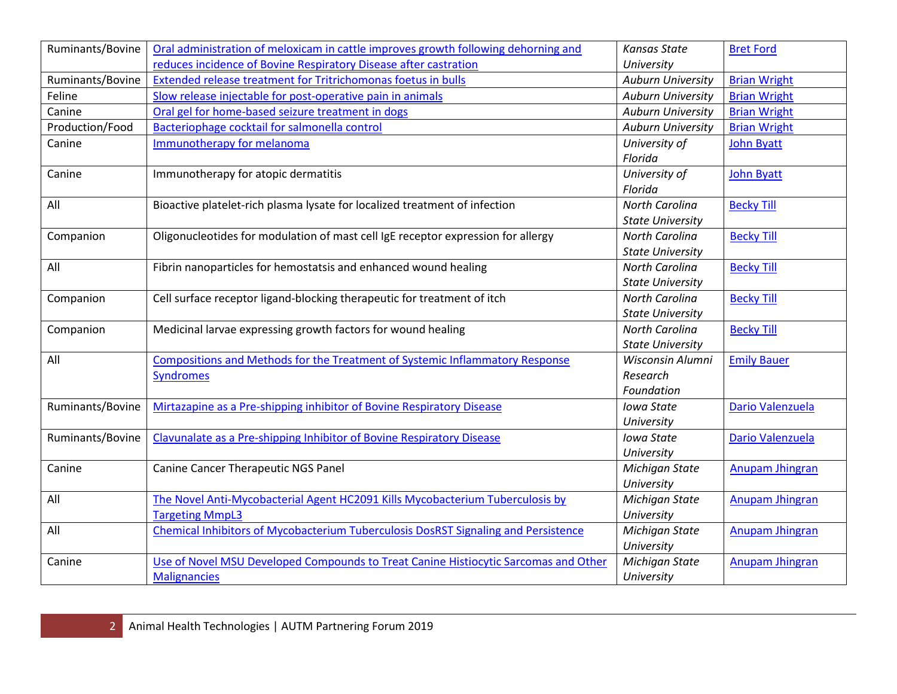| Ruminants/Bovine | Oral administration of meloxicam in cattle improves growth following dehorning and        | <b>Kansas State</b>      | <b>Bret Ford</b>       |
|------------------|-------------------------------------------------------------------------------------------|--------------------------|------------------------|
|                  | reduces incidence of Bovine Respiratory Disease after castration                          | University               |                        |
| Ruminants/Bovine | Extended release treatment for Tritrichomonas foetus in bulls                             | <b>Auburn University</b> | <b>Brian Wright</b>    |
| Feline           | Slow release injectable for post-operative pain in animals                                | <b>Auburn University</b> | <b>Brian Wright</b>    |
| Canine           | Oral gel for home-based seizure treatment in dogs                                         | <b>Auburn University</b> | <b>Brian Wright</b>    |
| Production/Food  | Bacteriophage cocktail for salmonella control                                             | <b>Auburn University</b> | <b>Brian Wright</b>    |
| Canine           | <b>Immunotherapy for melanoma</b>                                                         | University of            | <b>John Byatt</b>      |
|                  |                                                                                           | Florida                  |                        |
| Canine           | Immunotherapy for atopic dermatitis                                                       | University of            | <b>John Byatt</b>      |
|                  |                                                                                           | Florida                  |                        |
| All              | Bioactive platelet-rich plasma lysate for localized treatment of infection                | North Carolina           | <b>Becky Till</b>      |
|                  |                                                                                           | <b>State University</b>  |                        |
| Companion        | Oligonucleotides for modulation of mast cell IgE receptor expression for allergy          | North Carolina           | <b>Becky Till</b>      |
|                  |                                                                                           | <b>State University</b>  |                        |
| All              | Fibrin nanoparticles for hemostatsis and enhanced wound healing                           | North Carolina           | <b>Becky Till</b>      |
|                  |                                                                                           | <b>State University</b>  |                        |
| Companion        | Cell surface receptor ligand-blocking therapeutic for treatment of itch                   | North Carolina           | <b>Becky Till</b>      |
|                  |                                                                                           | <b>State University</b>  |                        |
| Companion        | Medicinal larvae expressing growth factors for wound healing                              | <b>North Carolina</b>    | <b>Becky Till</b>      |
|                  |                                                                                           | <b>State University</b>  |                        |
| All              | Compositions and Methods for the Treatment of Systemic Inflammatory Response              | Wisconsin Alumni         | <b>Emily Bauer</b>     |
|                  | <b>Syndromes</b>                                                                          | Research                 |                        |
|                  |                                                                                           | Foundation               |                        |
| Ruminants/Bovine | Mirtazapine as a Pre-shipping inhibitor of Bovine Respiratory Disease                     | <b>Iowa State</b>        | Dario Valenzuela       |
|                  |                                                                                           | University               |                        |
| Ruminants/Bovine | Clavunalate as a Pre-shipping Inhibitor of Bovine Respiratory Disease                     | Iowa State               | Dario Valenzuela       |
|                  |                                                                                           | University               |                        |
| Canine           | <b>Canine Cancer Therapeutic NGS Panel</b>                                                | Michigan State           | Anupam Jhingran        |
|                  |                                                                                           | University               |                        |
| All              | The Novel Anti-Mycobacterial Agent HC2091 Kills Mycobacterium Tuberculosis by             | Michigan State           | Anupam Jhingran        |
|                  | <b>Targeting MmpL3</b>                                                                    | University               |                        |
| All              | <b>Chemical Inhibitors of Mycobacterium Tuberculosis DosRST Signaling and Persistence</b> | Michigan State           | <b>Anupam Jhingran</b> |
|                  |                                                                                           | University               |                        |
| Canine           | Use of Novel MSU Developed Compounds to Treat Canine Histiocytic Sarcomas and Other       | Michigan State           | Anupam Jhingran        |
|                  | <b>Malignancies</b>                                                                       | University               |                        |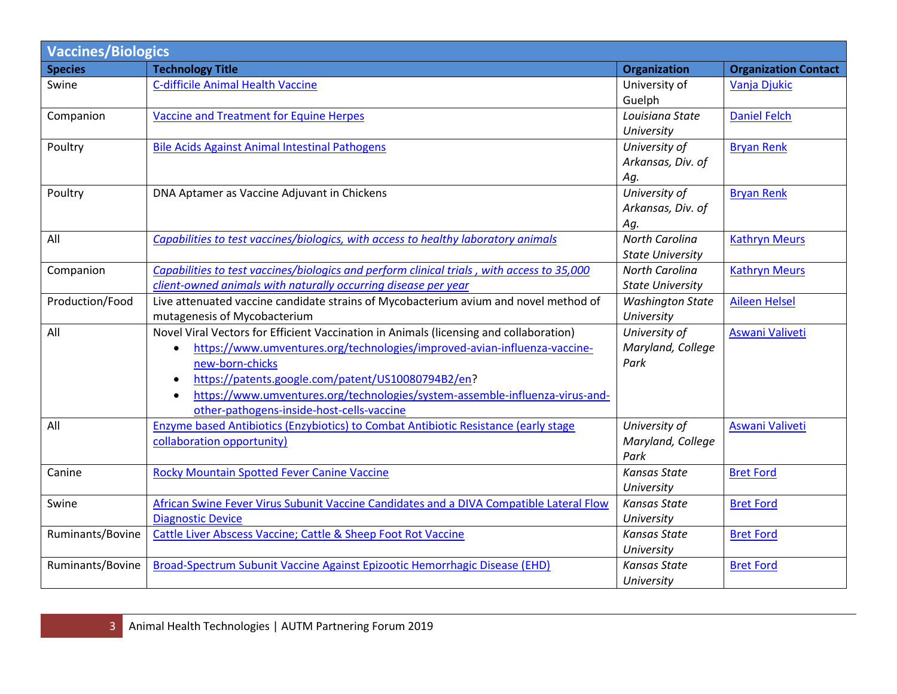| <b>Vaccines/Biologics</b> |                                                                                            |                         |                             |  |
|---------------------------|--------------------------------------------------------------------------------------------|-------------------------|-----------------------------|--|
| <b>Species</b>            | <b>Technology Title</b>                                                                    | <b>Organization</b>     | <b>Organization Contact</b> |  |
| Swine                     | <b>C-difficile Animal Health Vaccine</b>                                                   | University of           | Vanja Djukic                |  |
|                           |                                                                                            | Guelph                  |                             |  |
| Companion                 | Vaccine and Treatment for Equine Herpes                                                    | Louisiana State         | <b>Daniel Felch</b>         |  |
|                           |                                                                                            | University              |                             |  |
| Poultry                   | <b>Bile Acids Against Animal Intestinal Pathogens</b>                                      | University of           | <b>Bryan Renk</b>           |  |
|                           |                                                                                            | Arkansas, Div. of       |                             |  |
|                           |                                                                                            | Ag.                     |                             |  |
| Poultry                   | DNA Aptamer as Vaccine Adjuvant in Chickens                                                | University of           | <b>Bryan Renk</b>           |  |
|                           |                                                                                            | Arkansas, Div. of       |                             |  |
|                           |                                                                                            | Ag.                     |                             |  |
| All                       | Capabilities to test vaccines/biologics, with access to healthy laboratory animals         | <b>North Carolina</b>   | <b>Kathryn Meurs</b>        |  |
|                           |                                                                                            | <b>State University</b> |                             |  |
| Companion                 | Capabilities to test vaccines/biologics and perform clinical trials, with access to 35,000 | <b>North Carolina</b>   | <b>Kathryn Meurs</b>        |  |
|                           | client-owned animals with naturally occurring disease per year                             | <b>State University</b> |                             |  |
| Production/Food           | Live attenuated vaccine candidate strains of Mycobacterium avium and novel method of       | <b>Washington State</b> | <b>Aileen Helsel</b>        |  |
|                           | mutagenesis of Mycobacterium                                                               | University              |                             |  |
| All                       | Novel Viral Vectors for Efficient Vaccination in Animals (licensing and collaboration)     | University of           | Aswani Valiveti             |  |
|                           | https://www.umventures.org/technologies/improved-avian-influenza-vaccine-<br>$\bullet$     | Maryland, College       |                             |  |
|                           | new-born-chicks                                                                            | Park                    |                             |  |
|                           | https://patents.google.com/patent/US10080794B2/en?<br>$\bullet$                            |                         |                             |  |
|                           | https://www.umventures.org/technologies/system-assemble-influenza-virus-and-<br>$\bullet$  |                         |                             |  |
|                           | other-pathogens-inside-host-cells-vaccine                                                  |                         |                             |  |
| All                       | Enzyme based Antibiotics (Enzybiotics) to Combat Antibiotic Resistance (early stage        | University of           | Aswani Valiveti             |  |
|                           | collaboration opportunity)                                                                 | Maryland, College       |                             |  |
|                           |                                                                                            | Park                    |                             |  |
| Canine                    | <b>Rocky Mountain Spotted Fever Canine Vaccine</b>                                         | <b>Kansas State</b>     | <b>Bret Ford</b>            |  |
|                           |                                                                                            | University              |                             |  |
| Swine                     | African Swine Fever Virus Subunit Vaccine Candidates and a DIVA Compatible Lateral Flow    | Kansas State            | <b>Bret Ford</b>            |  |
|                           | <b>Diagnostic Device</b>                                                                   | University              |                             |  |
| Ruminants/Bovine          | Cattle Liver Abscess Vaccine; Cattle & Sheep Foot Rot Vaccine                              | <b>Kansas State</b>     | <b>Bret Ford</b>            |  |
|                           |                                                                                            | University              |                             |  |
| Ruminants/Bovine          | Broad-Spectrum Subunit Vaccine Against Epizootic Hemorrhagic Disease (EHD)                 | <b>Kansas State</b>     | <b>Bret Ford</b>            |  |
|                           |                                                                                            | University              |                             |  |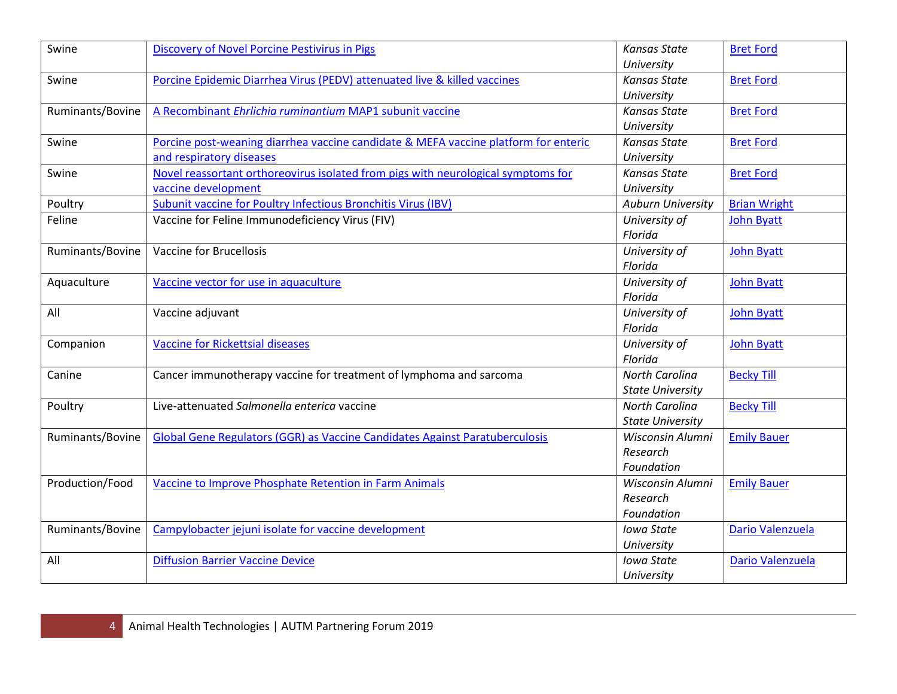| Swine            | Discovery of Novel Porcine Pestivirus in Pigs                                       | <b>Kansas State</b>      | <b>Bret Ford</b>    |
|------------------|-------------------------------------------------------------------------------------|--------------------------|---------------------|
|                  |                                                                                     | University               |                     |
| Swine            | Porcine Epidemic Diarrhea Virus (PEDV) attenuated live & killed vaccines            | <b>Kansas State</b>      | <b>Bret Ford</b>    |
|                  |                                                                                     | University               |                     |
| Ruminants/Bovine | A Recombinant Ehrlichia ruminantium MAP1 subunit vaccine                            | <b>Kansas State</b>      | <b>Bret Ford</b>    |
|                  |                                                                                     | University               |                     |
| Swine            | Porcine post-weaning diarrhea vaccine candidate & MEFA vaccine platform for enteric | <b>Kansas State</b>      | <b>Bret Ford</b>    |
|                  | and respiratory diseases                                                            | University               |                     |
| Swine            | Novel reassortant orthoreovirus isolated from pigs with neurological symptoms for   | <b>Kansas State</b>      | <b>Bret Ford</b>    |
|                  | vaccine development                                                                 | University               |                     |
| Poultry          | Subunit vaccine for Poultry Infectious Bronchitis Virus (IBV)                       | <b>Auburn University</b> | <b>Brian Wright</b> |
| Feline           | Vaccine for Feline Immunodeficiency Virus (FIV)                                     | University of            | <b>John Byatt</b>   |
|                  |                                                                                     | Florida                  |                     |
| Ruminants/Bovine | Vaccine for Brucellosis                                                             | University of            | <b>John Byatt</b>   |
|                  |                                                                                     | Florida                  |                     |
| Aquaculture      | Vaccine vector for use in aquaculture                                               | University of            | <b>John Byatt</b>   |
|                  |                                                                                     | Florida                  |                     |
| All              | Vaccine adjuvant                                                                    | University of            | <b>John Byatt</b>   |
|                  |                                                                                     | Florida                  |                     |
| Companion        | <b>Vaccine for Rickettsial diseases</b>                                             | University of            | <b>John Byatt</b>   |
|                  |                                                                                     | Florida                  |                     |
| Canine           | Cancer immunotherapy vaccine for treatment of lymphoma and sarcoma                  | North Carolina           | <b>Becky Till</b>   |
|                  |                                                                                     | <b>State University</b>  |                     |
| Poultry          | Live-attenuated Salmonella enterica vaccine                                         | North Carolina           | <b>Becky Till</b>   |
|                  |                                                                                     | <b>State University</b>  |                     |
| Ruminants/Bovine | Global Gene Regulators (GGR) as Vaccine Candidates Against Paratuberculosis         | Wisconsin Alumni         | <b>Emily Bauer</b>  |
|                  |                                                                                     | Research                 |                     |
|                  |                                                                                     | Foundation               |                     |
| Production/Food  | Vaccine to Improve Phosphate Retention in Farm Animals                              | Wisconsin Alumni         | <b>Emily Bauer</b>  |
|                  |                                                                                     | Research                 |                     |
|                  |                                                                                     | Foundation               |                     |
| Ruminants/Bovine | Campylobacter jejuni isolate for vaccine development                                | <b>Iowa State</b>        | Dario Valenzuela    |
|                  |                                                                                     | University               |                     |
| All              | <b>Diffusion Barrier Vaccine Device</b>                                             | <b>Iowa State</b>        | Dario Valenzuela    |
|                  |                                                                                     | University               |                     |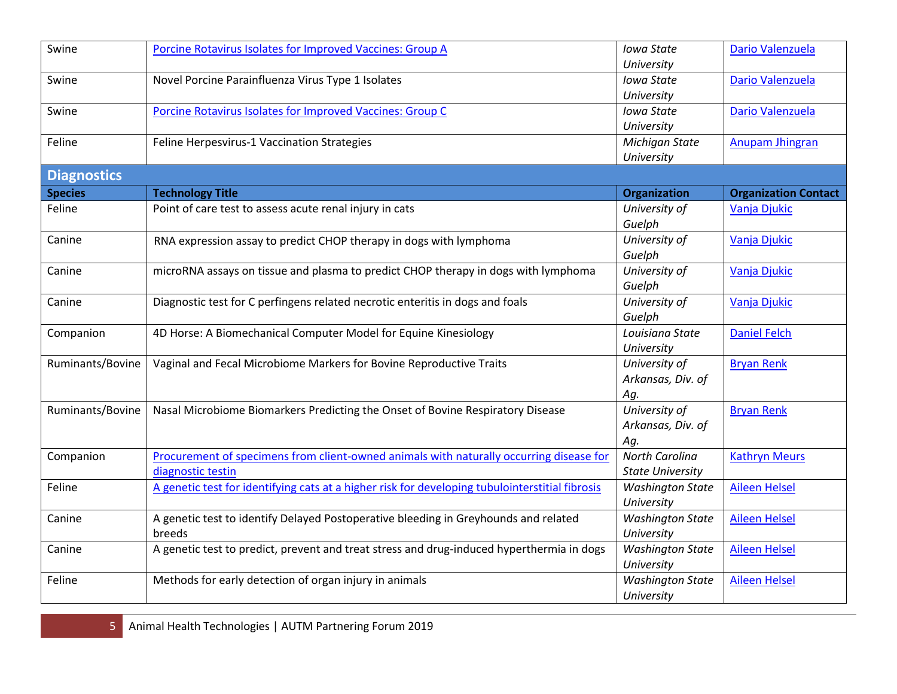| Swine              | Porcine Rotavirus Isolates for Improved Vaccines: Group A                                       | Iowa State              | Dario Valenzuela            |
|--------------------|-------------------------------------------------------------------------------------------------|-------------------------|-----------------------------|
|                    |                                                                                                 | University              |                             |
| Swine              | Novel Porcine Parainfluenza Virus Type 1 Isolates                                               | Iowa State              | Dario Valenzuela            |
|                    |                                                                                                 | University              |                             |
| Swine              | Porcine Rotavirus Isolates for Improved Vaccines: Group C                                       | Iowa State              | Dario Valenzuela            |
|                    |                                                                                                 | University              |                             |
| Feline             | Feline Herpesvirus-1 Vaccination Strategies                                                     | Michigan State          | <b>Anupam Jhingran</b>      |
|                    |                                                                                                 | University              |                             |
| <b>Diagnostics</b> |                                                                                                 |                         |                             |
| <b>Species</b>     | <b>Technology Title</b>                                                                         | Organization            | <b>Organization Contact</b> |
| Feline             | Point of care test to assess acute renal injury in cats                                         | University of           | Vanja Djukic                |
|                    |                                                                                                 | Guelph                  |                             |
| Canine             | RNA expression assay to predict CHOP therapy in dogs with lymphoma                              | University of           | Vanja Djukic                |
|                    |                                                                                                 | Guelph                  |                             |
| Canine             | microRNA assays on tissue and plasma to predict CHOP therapy in dogs with lymphoma              | University of           | Vanja Djukic                |
|                    |                                                                                                 | Guelph                  |                             |
| Canine             | Diagnostic test for C perfingens related necrotic enteritis in dogs and foals                   | University of           | Vanja Djukic                |
|                    |                                                                                                 | Guelph                  |                             |
| Companion          | 4D Horse: A Biomechanical Computer Model for Equine Kinesiology                                 | Louisiana State         | <b>Daniel Felch</b>         |
|                    |                                                                                                 | University              |                             |
| Ruminants/Bovine   | Vaginal and Fecal Microbiome Markers for Bovine Reproductive Traits                             | University of           | <b>Bryan Renk</b>           |
|                    |                                                                                                 | Arkansas, Div. of       |                             |
|                    |                                                                                                 | Ag.                     |                             |
| Ruminants/Bovine   | Nasal Microbiome Biomarkers Predicting the Onset of Bovine Respiratory Disease                  | University of           | <b>Bryan Renk</b>           |
|                    |                                                                                                 | Arkansas, Div. of       |                             |
|                    |                                                                                                 | Aq.                     |                             |
| Companion          | Procurement of specimens from client-owned animals with naturally occurring disease for         | <b>North Carolina</b>   | <b>Kathryn Meurs</b>        |
|                    | diagnostic testin                                                                               | <b>State University</b> |                             |
| Feline             | A genetic test for identifying cats at a higher risk for developing tubulointerstitial fibrosis | <b>Washington State</b> | <b>Aileen Helsel</b>        |
|                    |                                                                                                 | University              |                             |
| Canine             | A genetic test to identify Delayed Postoperative bleeding in Greyhounds and related             | <b>Washington State</b> | <b>Aileen Helsel</b>        |
|                    | breeds                                                                                          | University              |                             |
| Canine             | A genetic test to predict, prevent and treat stress and drug-induced hyperthermia in dogs       | <b>Washington State</b> | <b>Aileen Helsel</b>        |
|                    |                                                                                                 | University              |                             |
| Feline             | Methods for early detection of organ injury in animals                                          | <b>Washington State</b> | <b>Aileen Helsel</b>        |
|                    |                                                                                                 | University              |                             |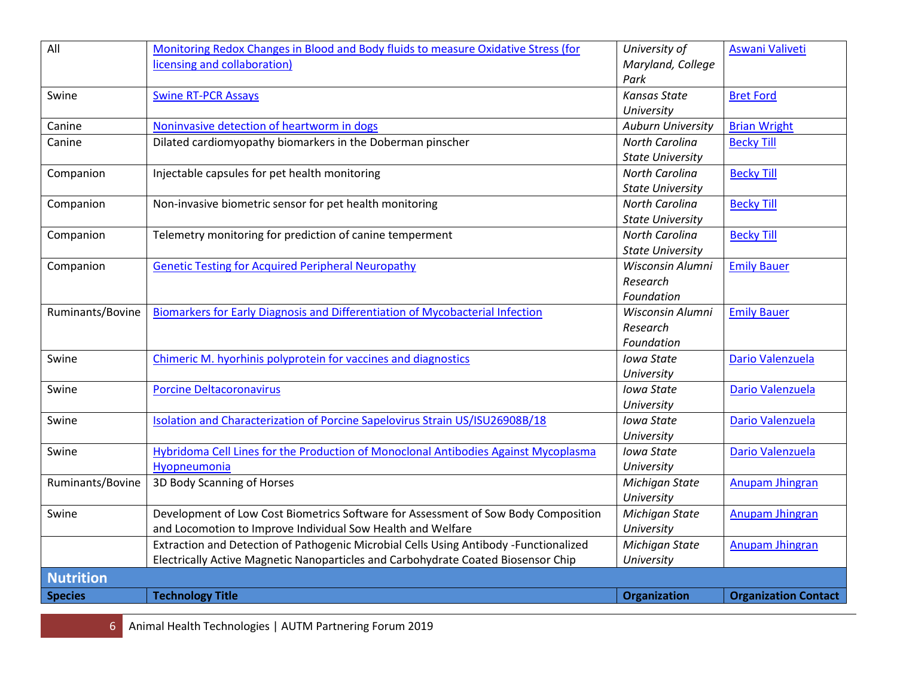| All              | Monitoring Redox Changes in Blood and Body fluids to measure Oxidative Stress (for    | University of            | Aswani Valiveti             |
|------------------|---------------------------------------------------------------------------------------|--------------------------|-----------------------------|
|                  | licensing and collaboration)                                                          | Maryland, College        |                             |
|                  |                                                                                       | Park                     |                             |
| Swine            | <b>Swine RT-PCR Assays</b>                                                            | <b>Kansas State</b>      | <b>Bret Ford</b>            |
|                  |                                                                                       | University               |                             |
| Canine           | Noninvasive detection of heartworm in dogs                                            | <b>Auburn University</b> | <b>Brian Wright</b>         |
| Canine           | Dilated cardiomyopathy biomarkers in the Doberman pinscher                            | <b>North Carolina</b>    | <b>Becky Till</b>           |
|                  |                                                                                       | <b>State University</b>  |                             |
| Companion        | Injectable capsules for pet health monitoring                                         | North Carolina           | <b>Becky Till</b>           |
|                  |                                                                                       | <b>State University</b>  |                             |
| Companion        | Non-invasive biometric sensor for pet health monitoring                               | North Carolina           | <b>Becky Till</b>           |
|                  |                                                                                       | <b>State University</b>  |                             |
| Companion        | Telemetry monitoring for prediction of canine temperment                              | <b>North Carolina</b>    | <b>Becky Till</b>           |
|                  |                                                                                       | <b>State University</b>  |                             |
| Companion        | <b>Genetic Testing for Acquired Peripheral Neuropathy</b>                             | Wisconsin Alumni         | <b>Emily Bauer</b>          |
|                  |                                                                                       | Research                 |                             |
|                  |                                                                                       | Foundation               |                             |
| Ruminants/Bovine | Biomarkers for Early Diagnosis and Differentiation of Mycobacterial Infection         | Wisconsin Alumni         | <b>Emily Bauer</b>          |
|                  |                                                                                       | Research                 |                             |
|                  |                                                                                       | Foundation               |                             |
| Swine            | Chimeric M. hyorhinis polyprotein for vaccines and diagnostics                        | Iowa State               | Dario Valenzuela            |
|                  |                                                                                       | University               |                             |
| Swine            | <b>Porcine Deltacoronavirus</b>                                                       | Iowa State               | Dario Valenzuela            |
|                  |                                                                                       | University               |                             |
| Swine            | Isolation and Characterization of Porcine Sapelovirus Strain US/ISU26908B/18          | Iowa State               | Dario Valenzuela            |
|                  |                                                                                       | University               |                             |
| Swine            | Hybridoma Cell Lines for the Production of Monoclonal Antibodies Against Mycoplasma   | Iowa State               | Dario Valenzuela            |
|                  | Hyopneumonia                                                                          | University               |                             |
| Ruminants/Bovine | 3D Body Scanning of Horses                                                            | Michigan State           | Anupam Jhingran             |
|                  |                                                                                       | University               |                             |
| Swine            | Development of Low Cost Biometrics Software for Assessment of Sow Body Composition    | Michigan State           | Anupam Jhingran             |
|                  | and Locomotion to Improve Individual Sow Health and Welfare                           | University               |                             |
|                  | Extraction and Detection of Pathogenic Microbial Cells Using Antibody -Functionalized | Michigan State           | Anupam Jhingran             |
|                  | Electrically Active Magnetic Nanoparticles and Carbohydrate Coated Biosensor Chip     | University               |                             |
| <b>Nutrition</b> |                                                                                       |                          |                             |
| <b>Species</b>   | <b>Technology Title</b>                                                               | Organization             | <b>Organization Contact</b> |

6 Animal Health Technologies | AUTM Partnering Forum 2019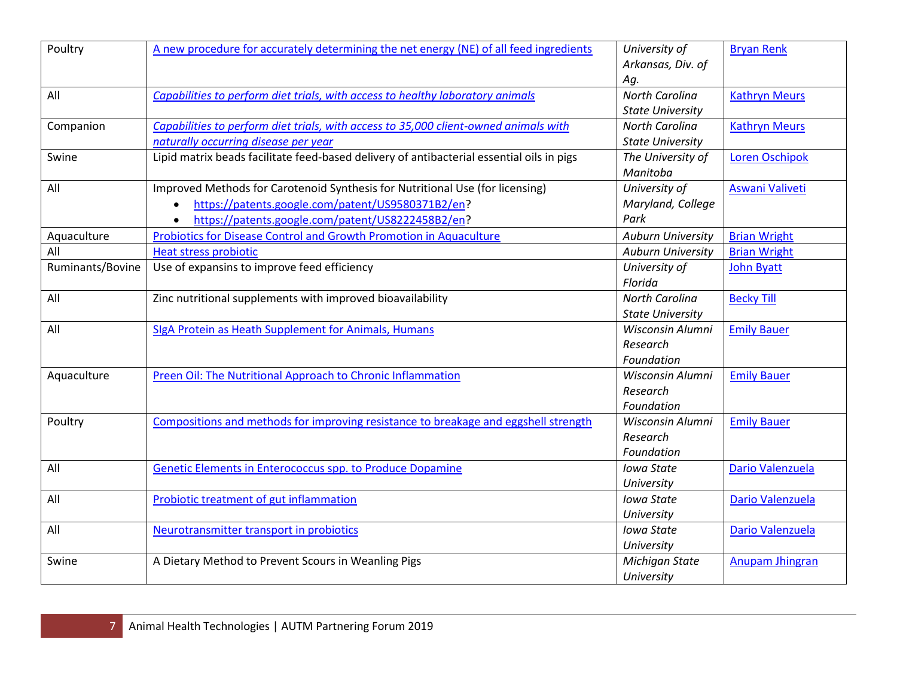| Poultry          | A new procedure for accurately determining the net energy (NE) of all feed ingredients    | University of<br>Arkansas, Div. of | <b>Bryan Renk</b>       |
|------------------|-------------------------------------------------------------------------------------------|------------------------------------|-------------------------|
|                  |                                                                                           | Ag.                                |                         |
| All              | Capabilities to perform diet trials, with access to healthy laboratory animals            | <b>North Carolina</b>              | <b>Kathryn Meurs</b>    |
|                  |                                                                                           | <b>State University</b>            |                         |
| Companion        | Capabilities to perform diet trials, with access to 35,000 client-owned animals with      | <b>North Carolina</b>              | <b>Kathryn Meurs</b>    |
|                  | naturally occurring disease per year                                                      | <b>State University</b>            |                         |
| Swine            | Lipid matrix beads facilitate feed-based delivery of antibacterial essential oils in pigs | The University of<br>Manitoba      | <b>Loren Oschipok</b>   |
| All              | Improved Methods for Carotenoid Synthesis for Nutritional Use (for licensing)             | University of                      | Aswani Valiveti         |
|                  | https://patents.google.com/patent/US9580371B2/en?<br>$\bullet$                            | Maryland, College                  |                         |
|                  | https://patents.google.com/patent/US8222458B2/en?<br>$\bullet$                            | Park                               |                         |
| Aquaculture      | <b>Probiotics for Disease Control and Growth Promotion in Aquaculture</b>                 | <b>Auburn University</b>           | <b>Brian Wright</b>     |
| All              | <b>Heat stress probiotic</b>                                                              | <b>Auburn University</b>           | <b>Brian Wright</b>     |
| Ruminants/Bovine | Use of expansins to improve feed efficiency                                               | University of                      | John Byatt              |
|                  |                                                                                           | Florida                            |                         |
| All              | Zinc nutritional supplements with improved bioavailability                                | <b>North Carolina</b>              | <b>Becky Till</b>       |
|                  |                                                                                           | <b>State University</b>            |                         |
| All              | SIgA Protein as Heath Supplement for Animals, Humans                                      | Wisconsin Alumni                   | <b>Emily Bauer</b>      |
|                  |                                                                                           | Research                           |                         |
|                  |                                                                                           | Foundation                         |                         |
| Aquaculture      | Preen Oil: The Nutritional Approach to Chronic Inflammation                               | Wisconsin Alumni                   | <b>Emily Bauer</b>      |
|                  |                                                                                           | Research                           |                         |
|                  |                                                                                           | Foundation                         |                         |
| Poultry          | Compositions and methods for improving resistance to breakage and eggshell strength       | Wisconsin Alumni                   | <b>Emily Bauer</b>      |
|                  |                                                                                           | Research                           |                         |
|                  |                                                                                           | Foundation                         |                         |
| All              | Genetic Elements in Enterococcus spp. to Produce Dopamine                                 | Iowa State                         | <b>Dario Valenzuela</b> |
|                  |                                                                                           | University                         |                         |
| All              | <b>Probiotic treatment of gut inflammation</b>                                            | Iowa State                         | Dario Valenzuela        |
|                  |                                                                                           | University                         |                         |
| All              | Neurotransmitter transport in probiotics                                                  | <b>Iowa State</b>                  | Dario Valenzuela        |
|                  |                                                                                           | University                         |                         |
| Swine            | A Dietary Method to Prevent Scours in Weanling Pigs                                       | Michigan State                     | Anupam Jhingran         |
|                  |                                                                                           | University                         |                         |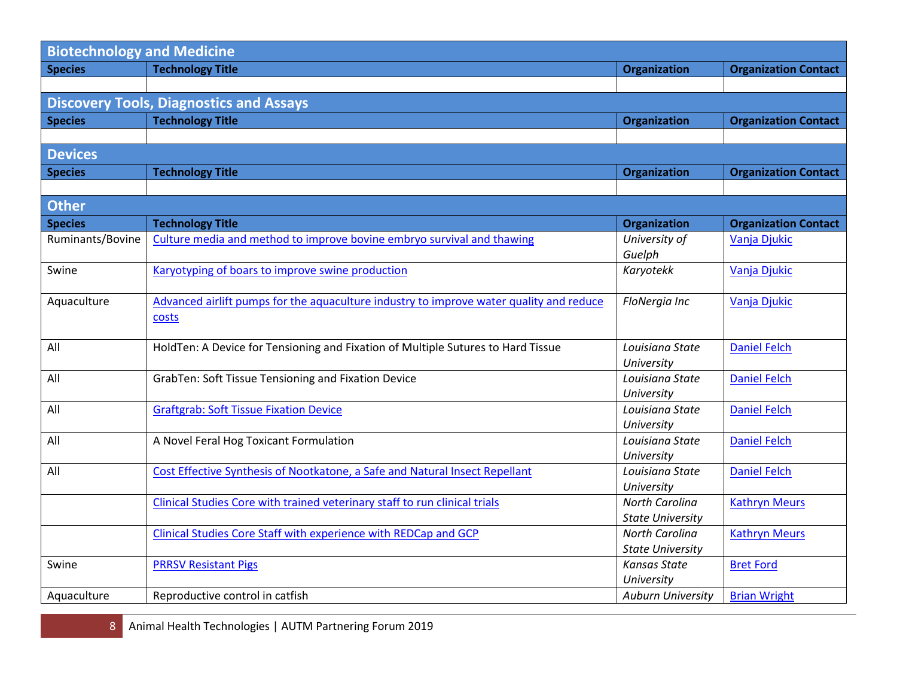| <b>Biotechnology and Medicine</b> |                                                                                         |                                                  |                             |  |
|-----------------------------------|-----------------------------------------------------------------------------------------|--------------------------------------------------|-----------------------------|--|
| <b>Species</b>                    | <b>Technology Title</b>                                                                 | <b>Organization</b>                              | <b>Organization Contact</b> |  |
|                                   |                                                                                         |                                                  |                             |  |
|                                   | <b>Discovery Tools, Diagnostics and Assays</b>                                          |                                                  |                             |  |
| <b>Species</b>                    | <b>Technology Title</b>                                                                 | <b>Organization</b>                              | <b>Organization Contact</b> |  |
|                                   |                                                                                         |                                                  |                             |  |
| <b>Devices</b>                    |                                                                                         |                                                  |                             |  |
| <b>Species</b>                    | <b>Technology Title</b>                                                                 | <b>Organization</b>                              | <b>Organization Contact</b> |  |
|                                   |                                                                                         |                                                  |                             |  |
| <b>Other</b>                      |                                                                                         |                                                  |                             |  |
| <b>Species</b>                    | <b>Technology Title</b>                                                                 | Organization                                     | <b>Organization Contact</b> |  |
| Ruminants/Bovine                  | Culture media and method to improve bovine embryo survival and thawing                  | University of                                    | Vanja Djukic                |  |
|                                   |                                                                                         | Guelph                                           |                             |  |
| Swine                             | Karyotyping of boars to improve swine production                                        | Karyotekk                                        | Vanja Djukic                |  |
|                                   |                                                                                         |                                                  |                             |  |
| Aquaculture                       | Advanced airlift pumps for the aquaculture industry to improve water quality and reduce | FloNergia Inc                                    | Vanja Djukic                |  |
|                                   | costs                                                                                   |                                                  |                             |  |
| All                               | HoldTen: A Device for Tensioning and Fixation of Multiple Sutures to Hard Tissue        | Louisiana State                                  | <b>Daniel Felch</b>         |  |
|                                   |                                                                                         | University                                       |                             |  |
| All                               | GrabTen: Soft Tissue Tensioning and Fixation Device                                     | Louisiana State                                  | <b>Daniel Felch</b>         |  |
|                                   |                                                                                         | University                                       |                             |  |
| All                               | <b>Graftgrab: Soft Tissue Fixation Device</b>                                           | Louisiana State                                  | <b>Daniel Felch</b>         |  |
|                                   |                                                                                         | University                                       |                             |  |
| All                               | A Novel Feral Hog Toxicant Formulation                                                  | Louisiana State                                  | <b>Daniel Felch</b>         |  |
|                                   |                                                                                         | University                                       |                             |  |
| All                               | Cost Effective Synthesis of Nootkatone, a Safe and Natural Insect Repellant             | Louisiana State                                  | <b>Daniel Felch</b>         |  |
|                                   |                                                                                         | University                                       |                             |  |
|                                   | Clinical Studies Core with trained veterinary staff to run clinical trials              | North Carolina                                   | <b>Kathryn Meurs</b>        |  |
|                                   |                                                                                         | <b>State University</b><br><b>North Carolina</b> |                             |  |
|                                   | Clinical Studies Core Staff with experience with REDCap and GCP                         | <b>State University</b>                          | <b>Kathryn Meurs</b>        |  |
| Swine                             | <b>PRRSV Resistant Pigs</b>                                                             | <b>Kansas State</b>                              | <b>Bret Ford</b>            |  |
|                                   |                                                                                         | University                                       |                             |  |
| Aquaculture                       | Reproductive control in catfish                                                         | <b>Auburn University</b>                         | <b>Brian Wright</b>         |  |
|                                   |                                                                                         |                                                  |                             |  |